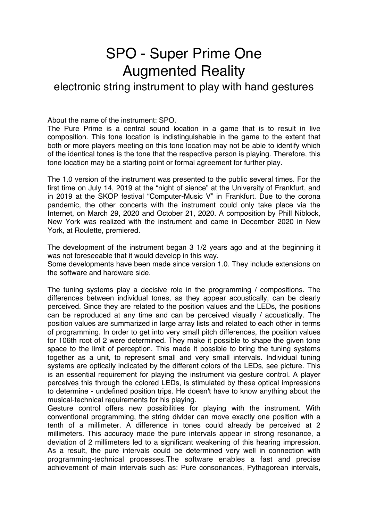## SPO - Super Prime One Augmented Reality

electronic string instrument to play with hand gestures

About the name of the instrument: SPO.

The Pure Prime is a central sound location in a game that is to result in live composition. This tone location is indistinguishable in the game to the extent that both or more players meeting on this tone location may not be able to identify which of the identical tones is the tone that the respective person is playing. Therefore, this tone location may be a starting point or formal agreement for further play.

The 1.0 version of the instrument was presented to the public several times. For the first time on July 14, 2019 at the "night of sience" at the University of Frankfurt, and in 2019 at the SKOP festival "Computer-Music V" in Frankfurt. Due to the corona pandemic, the other concerts with the instrument could only take place via the Internet, on March 29, 2020 and October 21, 2020. A composition by Phill Niblock, New York was realized with the instrument and came in December 2020 in New York, at Roulette, premiered.

The development of the instrument began 3 1/2 years ago and at the beginning it was not foreseeable that it would develop in this way.

Some developments have been made since version 1.0. They include extensions on the software and hardware side.

The tuning systems play a decisive role in the programming / compositions. The differences between individual tones, as they appear acoustically, can be clearly perceived. Since they are related to the position values and the LEDs, the positions can be reproduced at any time and can be perceived visually / acoustically. The position values are summarized in large array lists and related to each other in terms of programming. In order to get into very small pitch differences, the position values for 106th root of 2 were determined. They make it possible to shape the given tone space to the limit of perception. This made it possible to bring the tuning systems together as a unit, to represent small and very small intervals. Individual tuning systems are optically indicated by the different colors of the LEDs, see picture. This is an essential requirement for playing the instrument via gesture control. A player perceives this through the colored LEDs, is stimulated by these optical impressions to determine - undefined position trips. He doesn't have to know anything about the musical-technical requirements for his playing.

Gesture control offers new possibilities for playing with the instrument. With conventional programming, the string divider can move exactly one position with a tenth of a millimeter. A difference in tones could already be perceived at 2 millimeters. This accuracy made the pure intervals appear in strong resonance, a deviation of 2 millimeters led to a significant weakening of this hearing impression. As a result, the pure intervals could be determined very well in connection with programming-technical processes.The software enables a fast and precise achievement of main intervals such as: Pure consonances, Pythagorean intervals,